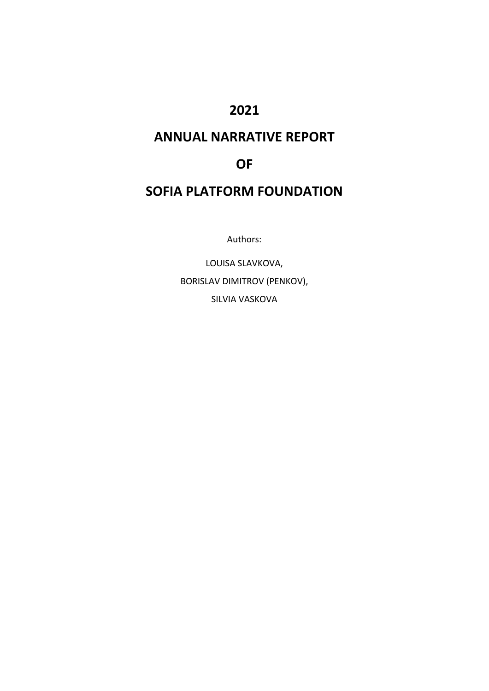# **2021**

# **ANNUAL NARRATIVE REPORT**

# **OF**

# **SOFIA PLATFORM FOUNDATION**

Authors:

LOUISA SLAVKOVA, BORISLAV DIMITROV (PENKOV), SILVIA VASKOVA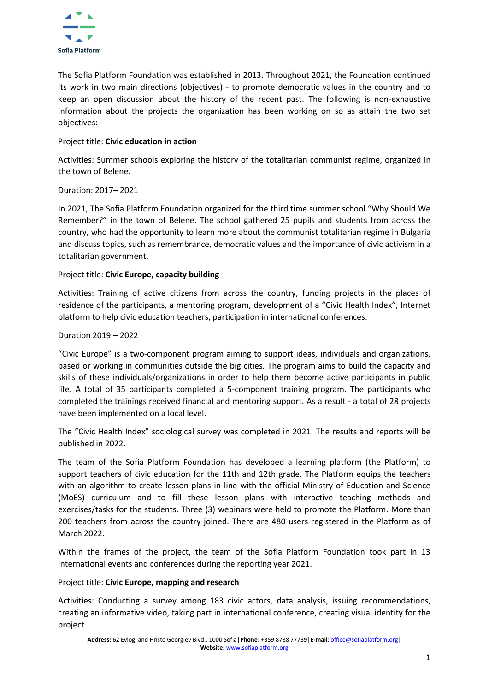

The Sofia Platform Foundation was established in 2013. Throughout 2021, the Foundation continued its work in two main directions (objectives) - to promote democratic values in the country and to keep an open discussion about the history of the recent past. The following is non-exhaustive information about the projects the organization has been working on so as attain the two set objectives:

# Project title: **Civic education in action**

Activities: Summer schools exploring the history of the totalitarian communist regime, organized in the town of Belene.

# Duration: 2017– 2021

In 2021, The Sofia Platform Foundation organized for the third time summer school "Why Should We Remember?" in the town of Belene. The school gathered 25 pupils and students from across the country, who had the opportunity to learn more about the communist totalitarian regime in Bulgaria and discuss topics, such as remembrance, democratic values and the importance of civic activism in a totalitarian government.

# Project title: **Civic Europe, capacity building**

Activities: Training of active citizens from across the country, funding projects in the places of residence of the participants, a mentoring program, development of a "Civic Health Index", Internet platform to help civic education teachers, participation in international conferences.

# Duration 2019 – 2022

"Civic Europe" is a two-component program aiming to support ideas, individuals and organizations, based or working in communities outside the big cities. The program aims to build the capacity and skills of these individuals/organizations in order to help them become active participants in public life. A total of 35 participants completed a 5-component training program. The participants who completed the trainings received financial and mentoring support. As a result - a total of 28 projects have been implemented on a local level.

The "Civic Health Index" sociological survey was completed in 2021. The results and reports will be published in 2022.

The team of the Sofia Platform Foundation has developed a learning platform (the Platform) to support teachers of civic education for the 11th and 12th grade. The Platform equips the teachers with an algorithm to create lesson plans in line with the official Ministry of Education and Science (MoES) curriculum and to fill these lesson plans with interactive teaching methods and exercises/tasks for the students. Three (3) webinars were held to promote the Platform. More than 200 teachers from across the country joined. There are 480 users registered in the Platform as of March 2022.

Within the frames of the project, the team of the Sofia Platform Foundation took part in 13 international events and conferences during the reporting year 2021.

#### Project title: **Civic Europe, mapping and research**

Activities: Conducting a survey among 183 civic actors, data analysis, issuing recommendations, creating an informative video, taking part in international conference, creating visual identity for the project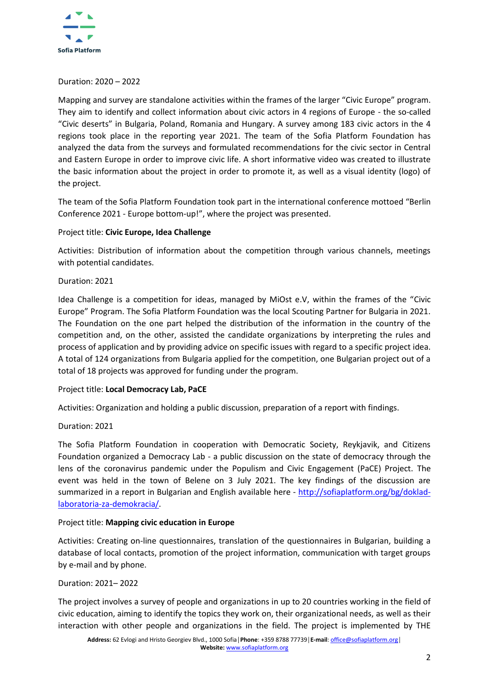

#### Duration: 2020 – 2022

Mapping and survey are standalone activities within the frames of the larger "Civic Europe" program. They aim to identify and collect information about civic actors in 4 regions of Europe - the so-called "Civic deserts" in Bulgaria, Poland, Romania and Hungary. A survey among 183 civic actors in the 4 regions took place in the reporting year 2021. The team of the Sofia Platform Foundation has analyzed the data from the surveys and formulated recommendations for the civic sector in Central and Eastern Europe in order to improve civic life. A short informative video was created to illustrate the basic information about the project in order to promote it, as well as a visual identity (logo) of the project.

The team of the Sofia Platform Foundation took part in the international conference mottoed "Berlin Conference 2021 - Europe bottom-up!", where the project was presented.

# Project title: **Civic Europe, Idea Challenge**

Activities: Distribution of information about the competition through various channels, meetings with potential candidates.

#### Duration: 2021

Idea Challenge is a competition for ideas, managed by MiOst e.V, within the frames of the "Civic Europe" Program. The Sofia Platform Foundation was the local Scouting Partner for Bulgaria in 2021. The Foundation on the one part helped the distribution of the information in the country of the competition and, on the other, assisted the candidate organizations by interpreting the rules and process of application and by providing advice on specific issues with regard to a specific project idea. A total of 124 organizations from Bulgaria applied for the competition, one Bulgarian project out of a total of 18 projects was approved for funding under the program.

#### Project title: **Local Democracy Lab, PaCE**

Activities: Organization and holding a public discussion, preparation of a report with findings.

#### Duration: 2021

The Sofia Platform Foundation in cooperation with Democratic Society, Reykjavik, and Citizens Foundation organized a Democracy Lab - a public discussion on the state of democracy through the lens of the coronavirus pandemic under the Populism and Civic Engagement (PaCE) Project. The event was held in the town of Belene on 3 July 2021. The key findings of the discussion are summarized in a report in Bulgarian and English available here - [http://sofiaplatform.org/bg/doklad](http://sofiaplatform.org/bg/doklad-laboratoria-za-demokracia/)[laboratoria-za-demokracia/.](http://sofiaplatform.org/bg/doklad-laboratoria-za-demokracia/)

#### Project title: **Mapping civic education in Europe**

Activities: Creating on-line questionnaires, translation of the questionnaires in Bulgarian, building a database of local contacts, promotion of the project information, communication with target groups by e-mail and by phone.

#### Duration: 2021– 2022

The project involves a survey of people and organizations in up to 20 countries working in the field of civic education, aiming to identify the topics they work on, their organizational needs, as well as their interaction with other people and organizations in the field. The project is implemented by THE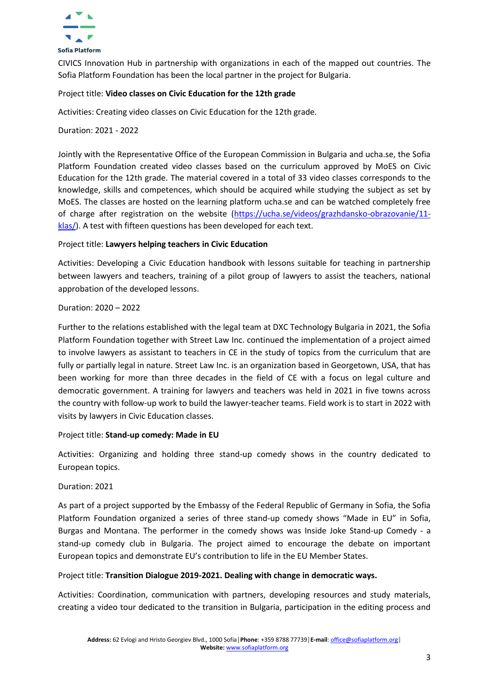

CIVICS Innovation Hub in partnership with organizations in each of the mapped out countries. The Sofia Platform Foundation has been the local partner in the project for Bulgaria.

# Project title: **Video classes on Civic Education for the 12th grade**

Activities: Creating video classes on Civic Education for the 12th grade.

Duration: 2021 - 2022

Jointly with the Representative Office of the European Commission in Bulgaria and ucha.se, the Sofia Platform Foundation created video classes based on the curriculum approved by MoES on Civic Education for the 12th grade. The material covered in a total of 33 video classes corresponds to the knowledge, skills and competences, which should be acquired while studying the subject as set by MoES. The classes are hosted on the learning platform ucha.se and can be watched completely free of charge after registration on the website [\(https://ucha.se/videos/grazhdansko-obrazovanie/11](https://ucha.se/videos/grazhdansko-obrazovanie/11-klas/) [klas/\)](https://ucha.se/videos/grazhdansko-obrazovanie/11-klas/). A test with fifteen questions has been developed for each text.

# Project title: **Lawyers helping teachers in Civic Education**

Activities: Developing a Civic Education handbook with lessons suitable for teaching in partnership between lawyers and teachers, training of a pilot group of lawyers to assist the teachers, national approbation of the developed lessons.

# Duration: 2020 – 2022

Further to the relations established with the legal team at DXC Technology Bulgaria in 2021, the Sofia Platform Foundation together with Street Law Inc. continued the implementation of a project aimed to involve lawyers as assistant to teachers in CE in the study of topics from the curriculum that are fully or partially legal in nature. Street Law Inc. is an organization based in Georgetown, USA, that has been working for more than three decades in the field of CE with a focus on legal culture and democratic government. A training for lawyers and teachers was held in 2021 in five towns across the country with follow-up work to build the lawyer-teacher teams. Field work is to start in 2022 with visits by lawyers in Civic Education classes.

Project title: **Stand-up comedy: Made in EU**

Activities: Organizing and holding three stand-up comedy shows in the country dedicated to European topics.

Duration: 2021

As part of a project supported by the Embassy of the Federal Republic of Germany in Sofia, the Sofia Platform Foundation organized a series of three stand-up comedy shows "Made in EU" in Sofia, Burgas and Montana. The performer in the comedy shows was Inside Joke Stand-up Comedy - a stand-up comedy club in Bulgaria. The project aimed to encourage the debate on important European topics and demonstrate EU's contribution to life in the EU Member States.

#### Project title: **Transition Dialogue 2019-2021. Dealing with change in democratic ways.**

Activities: Coordination, communication with partners, developing resources and study materials, creating a video tour dedicated to the transition in Bulgaria, participation in the editing process and